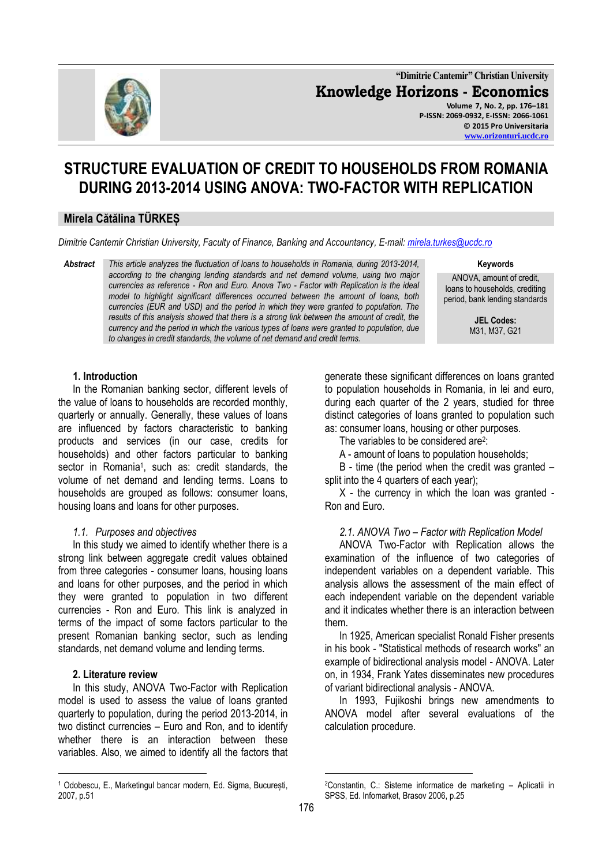

**"Dimitrie Cantemir" Christian University Knowledge Horizons - Economics Volume 7, No. 2, pp. 176–181 P-ISSN: 2069-0932, E-ISSN: 2066-1061 © 2015 Pro Universitaria [www.orizonturi.ucdc.ro](http://www.orizonturi.ucdc.ro/)**

# **STRUCTURE EVALUATION OF CREDIT TO HOUSEHOLDS FROM ROMANIA DURING 2013-2014 USING ANOVA: TWO-FACTOR WITH REPLICATION**

# **Mirela Cătălina TÜRKEȘ**

*Dimitrie Cantemir Christian University, Faculty of Finance, Banking and Accountancy, E-mail: [mirela.turkes@ucdc.ro](mailto:mirela.turkes@ucdc.ro)*

*Abstract This article analyzes the fluctuation of loans to households in Romania, during 2013-2014, according to the changing lending standards and net demand volume, using two major currencies as reference - Ron and Euro. Anova Two - Factor with Replication is the ideal model to highlight significant differences occurred between the amount of loans, both currencies (EUR and USD) and the period in which they were granted to population. The results of this analysis showed that there is a strong link between the amount of credit, the currency and the period in which the various types of loans were granted to population, due to changes in credit standards, the volume of net demand and credit terms.*

**Keywords**

ANOVA, amount of credit, loans to households, crediting period, bank lending standards

> **JEL Codes:**  M31, M37, G21

## **1. Introduction**

In the Romanian banking sector, different levels of the value of loans to households are recorded monthly, quarterly or annually. Generally, these values of loans are influenced by factors characteristic to banking products and services (in our case, credits for households) and other factors particular to banking sector in Romania<sup>1</sup>, such as: credit standards, the volume of net demand and lending terms. Loans to households are grouped as follows: consumer loans, housing loans and loans for other purposes.

## *1.1. Purposes and objectives*

In this study we aimed to identify whether there is a strong link between aggregate credit values obtained from three categories - consumer loans, housing loans and loans for other purposes, and the period in which they were granted to population in two different currencies - Ron and Euro. This link is analyzed in terms of the impact of some factors particular to the present Romanian banking sector, such as lending standards, net demand volume and lending terms.

#### **2. Literature review**

<u>.</u>

In this study, ANOVA Two-Factor with Replication model is used to assess the value of loans granted quarterly to population, during the period 2013-2014, in two distinct currencies – Euro and Ron, and to identify whether there is an interaction between these variables. Also, we aimed to identify all the factors that

<sup>1</sup> Odobescu, E., Marketingul bancar modern, Ed. Sigma, București, 2007, p.51

generate these significant differences on loans granted to population households in Romania, in lei and euro, during each quarter of the 2 years, studied for three distinct categories of loans granted to population such as: consumer loans, housing or other purposes.

The variables to be considered are<sup>2</sup>:

A - amount of loans to population households;

B - time (the period when the credit was granted – split into the 4 quarters of each year);

X - the currency in which the loan was granted - Ron and Euro.

## *2.1. ANOVA Two – Factor with Replication Model*

ANOVA Two-Factor with Replication allows the examination of the influence of two categories of independent variables on a dependent variable. This analysis allows the assessment of the main effect of each independent variable on the dependent variable and it indicates whether there is an interaction between them.

In 1925, American specialist Ronald Fisher presents in his book - "Statistical methods of research works" an example of bidirectional analysis model - ANOVA. Later on, in 1934, Frank Yates disseminates new procedures of variant bidirectional analysis - ANOVA.

In 1993, Fujikoshi brings new amendments to ANOVA model after several evaluations of the calculation procedure.

<u>.</u>

<sup>2</sup>Constantin, C.: Sisteme informatice de marketing – Aplicatii in SPSS, Ed. Infomarket, Brasov 2006, p.25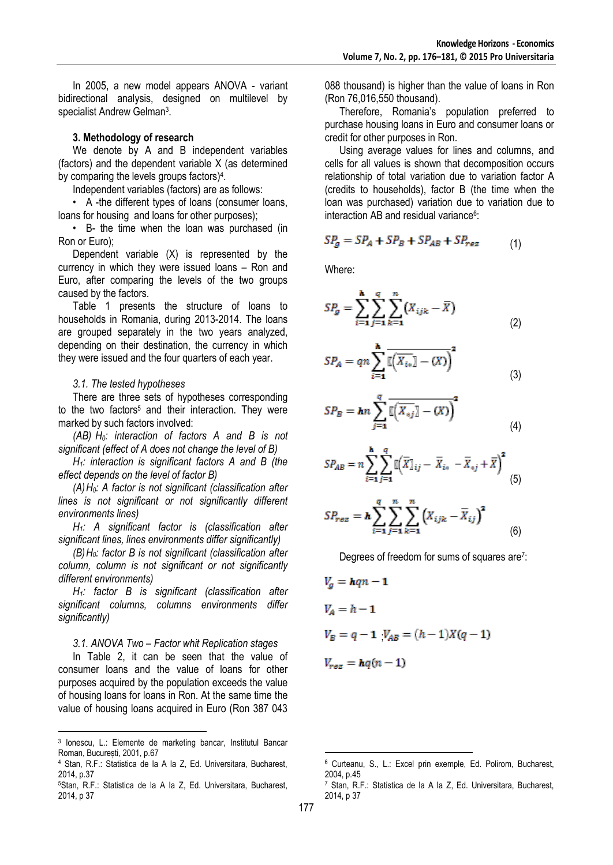In 2005, a new model appears ANOVA - variant bidirectional analysis, designed on multilevel by specialist Andrew Gelman<sup>3</sup>.

### **3. Methodology of research**

We denote by A and B independent variables (factors) and the dependent variable X (as determined by comparing the levels groups factors)<sup>4</sup>.

Independent variables (factors) are as follows:

• A -the different types of loans (consumer loans, loans for housing and loans for other purposes);

• B- the time when the loan was purchased (in Ron or Euro);

Dependent variable (X) is represented by the currency in which they were issued loans – Ron and Euro, after comparing the levels of the two groups caused by the factors.

Table 1 presents the structure of loans to households in Romania, during 2013-2014. The loans are grouped separately in the two years analyzed, depending on their destination, the currency in which they were issued and the four quarters of each year.

#### *3.1. The tested hypotheses*

There are three sets of hypotheses corresponding to the two factors<sup>5</sup> and their interaction. They were marked by such factors involved:

*(AB) H0: interaction of factors A and B is not significant (effect of A does not change the level of B)*

*H1: interaction is significant factors A and B (the effect depends on the level of factor B)*

*(A)H0: A factor is not significant (classification after lines is not significant or not significantly different environments lines)*

*H1: A significant factor is (classification after significant lines, lines environments differ significantly)*

*(B)H0: factor B is not significant (classification after column, column is not significant or not significantly different environments)*

*H1: factor B is significant (classification after significant columns, columns environments differ significantly)*

#### *3.1. ANOVA Two – Factor whit Replication stages*

In Table 2, it can be seen that the value of consumer loans and the value of loans for other purposes acquired by the population exceeds the value of housing loans for loans in Ron. At the same time the value of housing loans acquired in Euro (Ron 387 043

088 thousand) is higher than the value of loans in Ron (Ron 76,016,550 thousand).

Therefore, Romania's population preferred to purchase housing loans in Euro and consumer loans or credit for other purposes in Ron.

Using average values for lines and columns, and cells for all values is shown that decomposition occurs relationship of total variation due to variation factor A (credits to households), factor B (the time when the loan was purchased) variation due to variation due to interaction AB and residual variance<sup>6</sup>:

$$
SP_g = SP_A + SP_B + SP_{AB} + SP_{res}
$$
 (1)

Where:

$$
SP_g = \sum_{i=1}^{n} \sum_{j=1}^{q} \sum_{k=1}^{n} (X_{ijk} - \overline{X})
$$
\n(2)

×

$$
SP_A = qn \sum_{i=1}^{n} \overline{\mathbb{E}\big(X_{i*}\mathbb{I} - (X)\big)^2}
$$
 (3)

$$
SP_B = \hbar n \sum_{j=1}^{q} \overline{\mathbb{I}\left(\overline{X_{*j}}\right] - (X)}^2
$$
\n(4)

$$
SP_{AB} = n \sum_{i=1}^{h} \sum_{j=1}^{q} \mathbb{I} \left( \overline{X} \mathbb{I}_{ij} - \overline{X}_{i*} - \overline{X}_{*j} + \overline{X} \right)^{2} \tag{5}
$$

$$
SP_{res} = \mathbf{h} \sum_{i=1}^{q} \sum_{j=1}^{n} \sum_{k=1}^{n} (X_{ijk} - \overline{X}_{ij})^2
$$
 (6)

Degrees of freedom for sums of squares are<sup>7</sup>:

$$
V_g = hqn - 1
$$
  
\n
$$
V_A = h - 1
$$
  
\n
$$
V_B = q - 1 \cdot V_{AB} = (h - 1)X(q - 1)
$$
  
\n
$$
V_{res} = hq(n - 1)
$$

<u>.</u>

 3 Ionescu, L.: Elemente de marketing bancar, Institutul Bancar Roman, București, 2001, p.67

<sup>4</sup> Stan, R.F.: Statistica de la A la Z, Ed. Universitara, Bucharest, 2014, p.37

<sup>5</sup>Stan, R.F.: Statistica de la A la Z, Ed. Universitara, Bucharest, 2014, p 37

<sup>6</sup> Curteanu, S., L.: Excel prin exemple, Ed. Polirom, Bucharest, 2004, p.45

<sup>7</sup> Stan, R.F.: Statistica de la A la Z, Ed. Universitara, Bucharest, 2014, p 37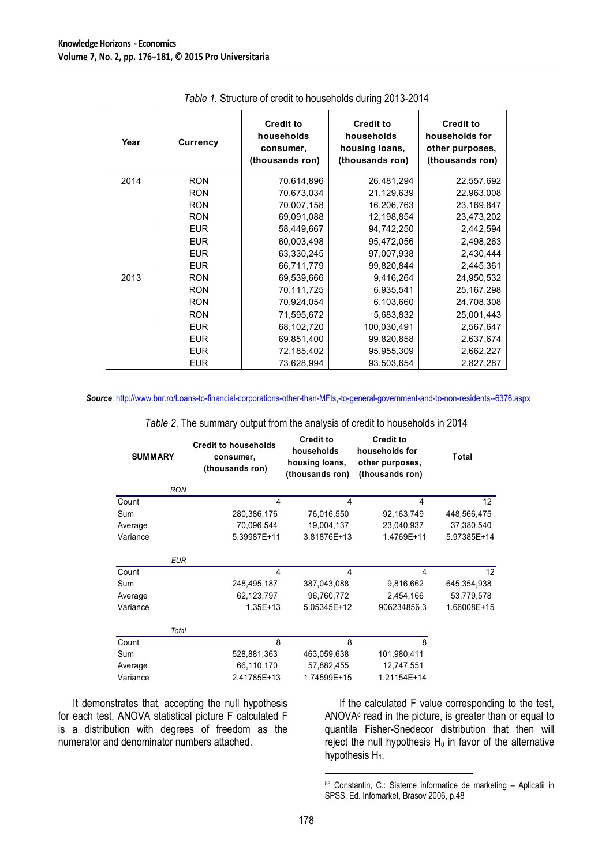| Year | <b>Currency</b> | <b>Credit to</b><br>households<br>consumer,<br>(thousands ron) | <b>Credit to</b><br>households<br>housing loans,<br>(thousands ron) | <b>Credit to</b><br>households for<br>other purposes,<br>(thousands ron) |
|------|-----------------|----------------------------------------------------------------|---------------------------------------------------------------------|--------------------------------------------------------------------------|
| 2014 | <b>RON</b>      | 70,614,896                                                     | 26,481,294                                                          | 22,557,692                                                               |
|      | <b>RON</b>      | 70,673,034                                                     | 21,129,639                                                          | 22,963,008                                                               |
|      | <b>RON</b>      | 70,007,158                                                     | 16,206,763                                                          | 23,169,847                                                               |
|      | <b>RON</b>      | 69,091,088                                                     | 12,198,854                                                          | 23,473,202                                                               |
|      | <b>EUR</b>      | 58,449,667                                                     | 94,742,250                                                          | 2,442,594                                                                |
|      | <b>EUR</b>      | 60,003,498                                                     | 95,472,056                                                          | 2,498,263                                                                |
|      | <b>EUR</b>      | 63,330,245                                                     | 97,007,938                                                          | 2,430,444                                                                |
|      | <b>EUR</b>      | 66,711,779                                                     | 99,820,844                                                          | 2,445,361                                                                |
| 2013 | <b>RON</b>      | 69,539,666                                                     | 9,416,264                                                           | 24,950,532                                                               |
|      | <b>RON</b>      | 70,111,725                                                     | 6,935,541                                                           | 25, 167, 298                                                             |
|      | <b>RON</b>      | 70,924,054                                                     | 6,103,660                                                           | 24,708,308                                                               |
|      | <b>RON</b>      | 71,595,672                                                     | 5,683,832                                                           | 25,001,443                                                               |
|      | <b>EUR</b>      | 68,102,720                                                     | 100,030,491                                                         | 2,567,647                                                                |
|      | <b>EUR</b>      | 69,851,400                                                     | 99,820,858                                                          | 2,637,674                                                                |
|      | <b>EUR</b>      | 72,185,402                                                     | 95,955,309                                                          | 2,662,227                                                                |
|      | <b>EUR</b>      | 73,628,994                                                     | 93,503,654                                                          | 2,827,287                                                                |

*Table 1.* Structure of credit to households during 2013-2014

*Source*:<http://www.bnr.ro/Loans-to-financial-corporations-other-than-MFIs,-to-general-government-and-to-non-residents--6376.aspx>

| <b>SUMMARY</b> | <b>Credit to households</b><br>consumer,<br>(thousands ron) | <b>Credit to</b><br>households<br>housing loans,<br>(thousands ron) | <b>Credit to</b><br>households for<br>other purposes,<br>(thousands ron) | Total           |  |
|----------------|-------------------------------------------------------------|---------------------------------------------------------------------|--------------------------------------------------------------------------|-----------------|--|
| <b>RON</b>     |                                                             |                                                                     |                                                                          |                 |  |
| Count          | 4                                                           | 4                                                                   | 4                                                                        | 12 <sup>°</sup> |  |
| Sum            | 280,386,176                                                 | 76,016,550                                                          | 92,163,749                                                               | 448,566,475     |  |
| Average        | 70,096,544                                                  | 19,004,137                                                          | 23,040,937                                                               | 37,380,540      |  |
| Variance       | 5.39987E+11                                                 | 3.81876E+13                                                         | 1.4769E+11                                                               | 5.97385E+14     |  |
|                | <b>EUR</b>                                                  |                                                                     |                                                                          |                 |  |
| Count          | 4                                                           | 4                                                                   | 4                                                                        | 12              |  |
| Sum            | 248,495,187                                                 | 387,043,088                                                         | 9,816,662                                                                | 645,354,938     |  |
| Average        | 62,123,797                                                  | 96,760,772                                                          | 2,454,166                                                                | 53,779,578      |  |
| Variance       | $1.35E+13$                                                  | 5.05345E+12                                                         | 906234856.3                                                              | 1.66008E+15     |  |
|                | Total                                                       |                                                                     |                                                                          |                 |  |
| Count          | 8                                                           | 8                                                                   | 8                                                                        |                 |  |
| Sum            | 528,881,363                                                 | 463,059,638                                                         | 101,980,411                                                              |                 |  |
| Average        | 66,110,170                                                  | 57,882,455                                                          | 12,747,551                                                               |                 |  |
| Variance       | 2.41785E+13                                                 | 1.74599E+15                                                         | 1.21154E+14                                                              |                 |  |

*Table 2*. The summary output from the analysis of credit to households in 2014

It demonstrates that, accepting the null hypothesis for each test, ANOVA statistical picture F calculated F is a distribution with degrees of freedom as the numerator and denominator numbers attached.

If the calculated F value corresponding to the test, ANOVA<sup>8</sup> read in the picture, is greater than or equal to quantila Fisher-Snedecor distribution that then will reject the null hypothesis  $H_0$  in favor of the alternative hypothesis  $H_1$ .

<u>.</u>

<sup>88</sup> Constantin, C.: Sisteme informatice de marketing - Aplicatii in SPSS, Ed. Infomarket, Brasov 2006, p.48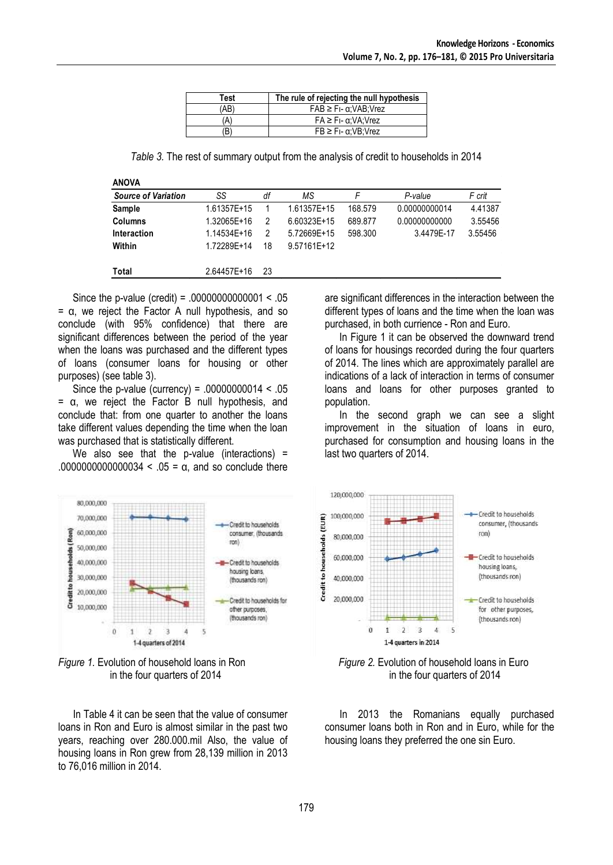| Test | The rule of rejecting the null hypothesis |
|------|-------------------------------------------|
| (AB) | $FAB \geq F_I - \alpha; VAB; Vrez$        |
| (A)  | $FA \geq Fi - \alpha: VA: Vrez$           |
| (B)  | $FB \geq Fi - \alpha$ : VB: Vrez          |

*Table 3.* The rest of summary output from the analysis of credit to households in 2014

| ۷ |   |  |
|---|---|--|
|   | ۹ |  |

| <b>Source of Variation</b> | SS          | df | ΜS          |         | P-value       | F crit  |
|----------------------------|-------------|----|-------------|---------|---------------|---------|
| Sample                     | 1.61357E+15 |    | 1.61357E+15 | 168.579 | 0.00000000014 | 4.41387 |
| <b>Columns</b>             | 1.32065E+16 | 2  | 6.60323E+15 | 689.877 | 0.00000000000 | 3.55456 |
| Interaction                | 1.14534E+16 | 2  | 5.72669E+15 | 598.300 | 3.4479E-17    | 3.55456 |
| Within                     | 1.72289E+14 | 18 | 9.57161E+12 |         |               |         |
| Total                      | 2.64457E+16 | 23 |             |         |               |         |
|                            |             |    |             |         |               |         |

Since the p-value (credit) = .00000000000001 < .05  $= α$ , we reject the Factor A null hypothesis, and so conclude (with 95% confidence) that there are significant differences between the period of the year when the loans was purchased and the different types of loans (consumer loans for housing or other purposes) (see table 3).

Since the p-value (currency) =  $.00000000014 < .05$ = α, we reject the Factor B null hypothesis, and conclude that: from one quarter to another the loans take different values depending the time when the loan was purchased that is statistically different.

We also see that the p-value (interactions) = .0000000000000034 < .05 = α, and so conclude there





In Table 4 it can be seen that the value of consumer loans in Ron and Euro is almost similar in the past two years, reaching over 280.000.mil Also, the value of housing loans in Ron grew from 28,139 million in 2013 to 76,016 million in 2014.

are significant differences in the interaction between the different types of loans and the time when the loan was purchased, in both currience - Ron and Euro.

In Figure 1 it can be observed the downward trend of loans for housings recorded during the four quarters of 2014. The lines which are approximately parallel are indications of a lack of interaction in terms of consumer loans and loans for other purposes granted to population.

In the second graph we can see a slight improvement in the situation of loans in euro, purchased for consumption and housing loans in the last two quarters of 2014.



in the four quarters of 2014 in the four quarters of 2014

In 2013 the Romanians equally purchased consumer loans both in Ron and in Euro, while for the housing loans they preferred the one sin Euro.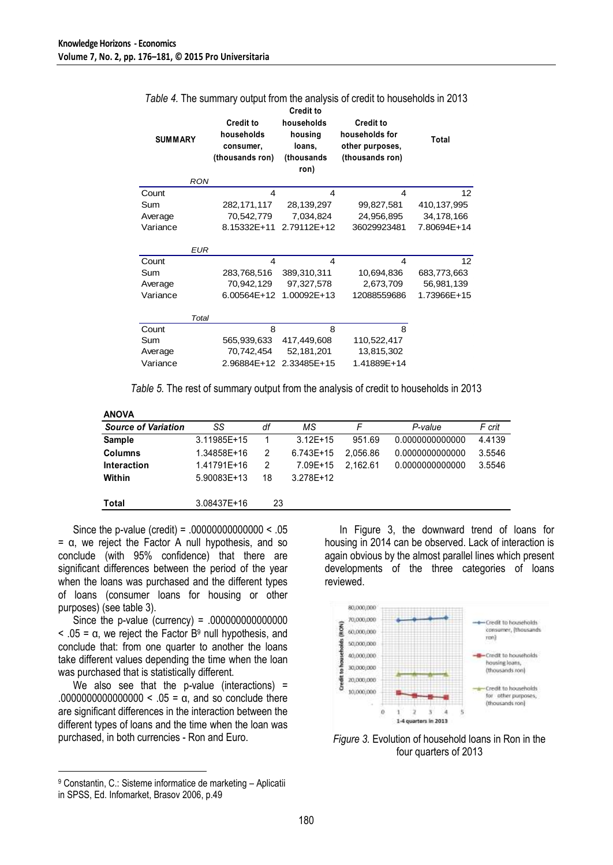| <b>SUMMARY</b> | <b>Credit to</b><br>households<br><b>Credit to</b><br>households<br>housing<br>loans,<br>consumer,<br>(thousands ron)<br>(thousands<br>ron) |             | <b>Credit to</b><br>households for<br>other purposes,<br>(thousands ron) | Total       |
|----------------|---------------------------------------------------------------------------------------------------------------------------------------------|-------------|--------------------------------------------------------------------------|-------------|
| <b>RON</b>     |                                                                                                                                             |             |                                                                          |             |
| Count          | 4                                                                                                                                           | 4           | 4                                                                        | 12          |
| Sum            | 282,171,117                                                                                                                                 | 28,139,297  | 99,827,581                                                               | 410,137,995 |
| Average        | 70,542,779                                                                                                                                  | 7,034,824   | 24,956,895                                                               | 34,178,166  |
| Variance       | 8.15332E+11                                                                                                                                 | 2.79112E+12 | 36029923481                                                              | 7.80694E+14 |
| EUR            |                                                                                                                                             |             |                                                                          |             |
| Count          | 4                                                                                                                                           | 4           | 4                                                                        | 12          |
| Sum            | 283,768,516                                                                                                                                 | 389,310,311 | 10,694,836                                                               | 683,773,663 |
| Average        | 70,942,129                                                                                                                                  | 97,327,578  | 2,673,709                                                                | 56,981,139  |
| Variance       | 6.00564E+12                                                                                                                                 | 1.00092E+13 | 12088559686                                                              | 1.73966E+15 |
| Total          |                                                                                                                                             |             |                                                                          |             |
| Count          | 8                                                                                                                                           | 8           | 8                                                                        |             |
| Sum            | 565,939,633                                                                                                                                 | 417,449,608 | 110,522,417                                                              |             |
| Average        | 70,742,454                                                                                                                                  | 52,181,201  | 13,815,302                                                               |             |
| Variance       | 2.96884E+12                                                                                                                                 | 2.33485E+15 | 1.41889E+14                                                              |             |

# *Table 4.* The summary output from the analysis of credit to households in 2013

*Table 5.* The rest of summary output from the analysis of credit to households in 2013

| <b>ANOVA</b>               |             |    |            |          |                 |        |
|----------------------------|-------------|----|------------|----------|-----------------|--------|
| <b>Source of Variation</b> | SS          | df | МS         | F        | P-value         | F crit |
| <b>Sample</b>              | 3.11985E+15 |    | $3.12E+15$ | 951.69   | 0.0000000000000 | 4.4139 |
| <b>Columns</b>             | 1.34858E+16 | 2  | 6.743E+15  | 2.056.86 | 0.0000000000000 | 3.5546 |
| Interaction                | 1.41791E+16 | 2  | 7.09E+15   | 2.162.61 | 0.0000000000000 | 3.5546 |
| Within                     | 5.90083E+13 | 18 | 3.278E+12  |          |                 |        |
| Total                      | 3.08437E+16 | 23 |            |          |                 |        |

Since the p-value (credit) = .00000000000000 < .05  $= \alpha$ , we reject the Factor A null hypothesis, and so conclude (with 95% confidence) that there are significant differences between the period of the year when the loans was purchased and the different types of loans (consumer loans for housing or other purposes) (see table 3).

Since the p-value (currency) = .000000000000000  $<$  .05 =  $\alpha$ , we reject the Factor B<sup>9</sup> null hypothesis, and conclude that: from one quarter to another the loans take different values depending the time when the loan was purchased that is statistically different.

We also see that the p-value (interactions) = .0000000000000000 < .05 = α, and so conclude there are significant differences in the interaction between the different types of loans and the time when the loan was purchased, in both currencies - Ron and Euro.

<sup>9</sup> Constantin, C.: Sisteme informatice de marketing – Aplicatii in SPSS, Ed. Infomarket, Brasov 2006, p.49

<u>.</u>

In Figure 3, the downward trend of loans for housing in 2014 can be observed. Lack of interaction is again obvious by the almost parallel lines which present developments of the three categories of loans reviewed.



*Figure 3.* Evolution of household loans in Ron in the four quarters of 2013